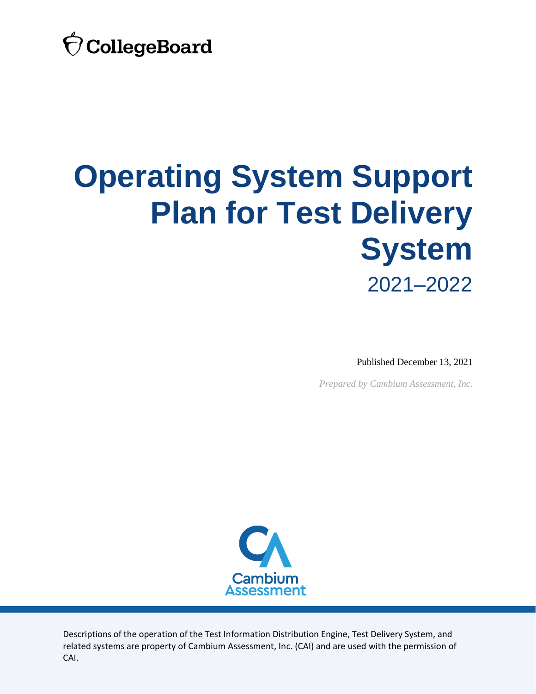

## **Operating System Support Plan for Test Delivery System** 2021–2022

Published December 13, 2021

*Prepared by Cambium Assessment, Inc.*



Descriptions of the operation of the Test Information Distribution Engine, Test Delivery System, and related systems are property of Cambium Assessment, Inc. (CAI) and are used with the permission of CAI.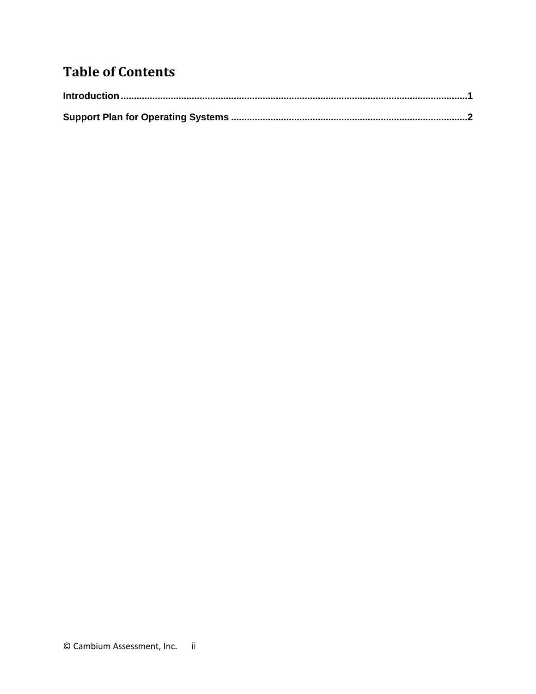## **Table of Contents**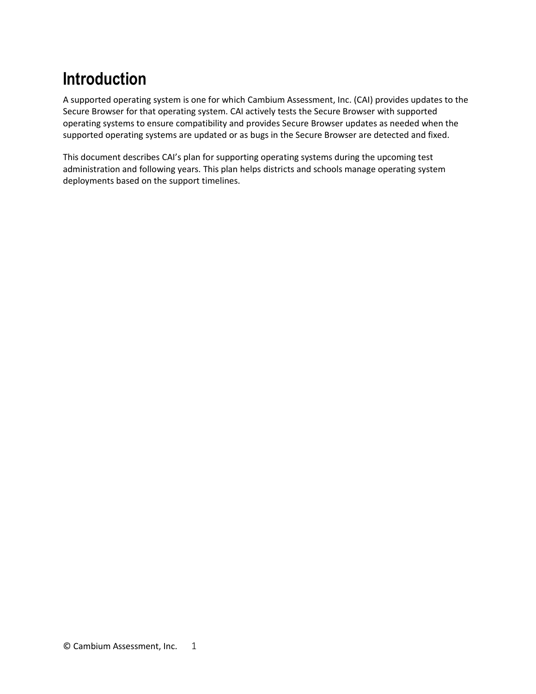## <span id="page-2-0"></span>**Introduction**

A supported operating system is one for which Cambium Assessment, Inc. (CAI) provides updates to the Secure Browser for that operating system. CAI actively tests the Secure Browser with supported operating systems to ensure compatibility and provides Secure Browser updates as needed when the supported operating systems are updated or as bugs in the Secure Browser are detected and fixed.

This document describes CAI's plan for supporting operating systems during the upcoming test administration and following years. This plan helps districts and schools manage operating system deployments based on the support timelines.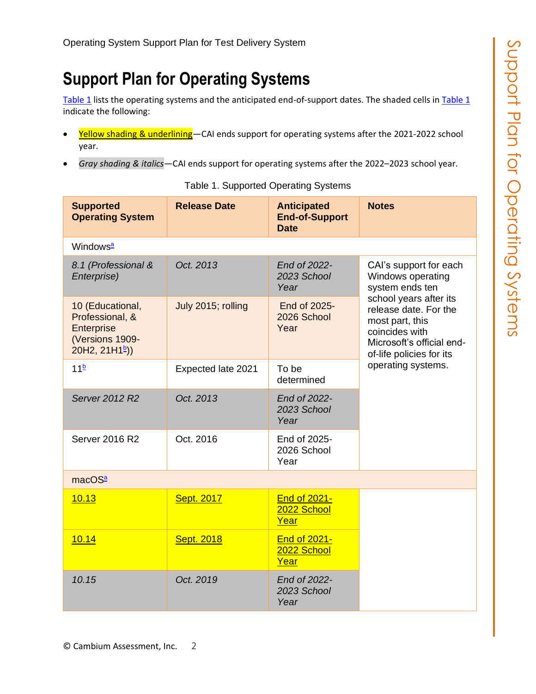## <span id="page-3-0"></span>**Support Plan for Operating Systems**

[Table 1](#page-3-1) lists the operating systems and the anticipated end-of-support dates. The shaded cells in [Table 1](#page-3-1) indicate the following:

- Yellow shading & underlining-CAI ends support for operating systems after the 2021-2022 school year.
- <span id="page-3-1"></span>• *Gray shading & italics*—CAI ends support for operating systems after the 2022–2023 school year.

| <b>Supported</b><br><b>Operating System</b>                                                               | <b>Release Date</b> | <b>Anticipated</b><br><b>End-of-Support</b><br><b>Date</b> | <b>Notes</b>                                                                                                                                                                                                                          |  |  |
|-----------------------------------------------------------------------------------------------------------|---------------------|------------------------------------------------------------|---------------------------------------------------------------------------------------------------------------------------------------------------------------------------------------------------------------------------------------|--|--|
| Windows <sup>a</sup>                                                                                      |                     |                                                            |                                                                                                                                                                                                                                       |  |  |
| 8.1 (Professional &<br>Enterprise)                                                                        | Oct. 2013           | End of 2022-<br>2023 School<br>Year                        | CAI's support for each<br>Windows operating<br>system ends ten<br>school years after its<br>release date. For the<br>most part, this<br>coincides with<br>Microsoft's official end-<br>of-life policies for its<br>operating systems. |  |  |
| 10 (Educational,<br>Professional, &<br><b>Enterprise</b><br>(Versions 1909-<br>20H2, 21H1 <sup>b</sup> )) | July 2015; rolling  | End of 2025-<br>2026 School<br>Year                        |                                                                                                                                                                                                                                       |  |  |
| 11 <sup>b</sup>                                                                                           | Expected late 2021  | To be<br>determined                                        |                                                                                                                                                                                                                                       |  |  |
| Server 2012 R2                                                                                            | Oct. 2013           | End of 2022-<br>2023 School<br>Year                        |                                                                                                                                                                                                                                       |  |  |
| Server 2016 R2                                                                                            | Oct. 2016           | End of 2025-<br>2026 School<br>Year                        |                                                                                                                                                                                                                                       |  |  |
| macOS <sup>a</sup>                                                                                        |                     |                                                            |                                                                                                                                                                                                                                       |  |  |
| 10.13                                                                                                     | Sept. 2017          | <b>End of 2021-</b><br>2022 School<br>Year                 |                                                                                                                                                                                                                                       |  |  |
| 10.14                                                                                                     | <b>Sept. 2018</b>   | <b>End of 2021-</b><br>2022 School<br>Year                 |                                                                                                                                                                                                                                       |  |  |
| 10.15                                                                                                     | Oct. 2019           | End of 2022-<br>2023 School<br>Year                        |                                                                                                                                                                                                                                       |  |  |

Table 1. Supported Operating Systems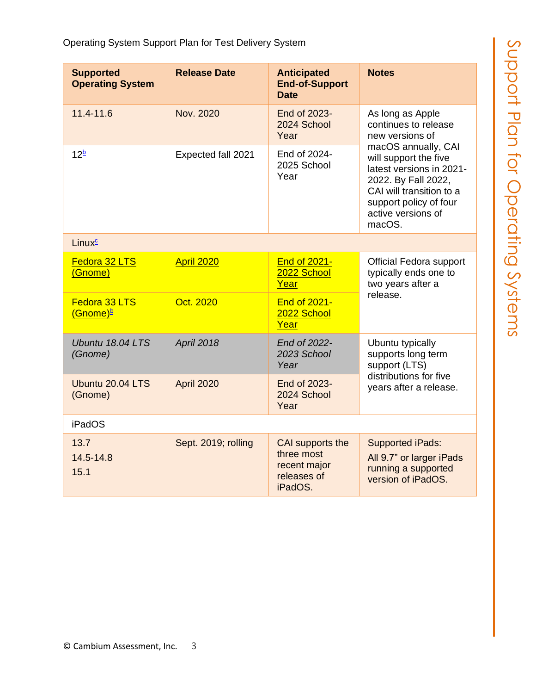| <b>Supported</b><br><b>Operating System</b> | <b>Release Date</b> | <b>Anticipated</b><br><b>End-of-Support</b><br><b>Date</b>               | <b>Notes</b>                                                                                                                                                                                                                                         |  |
|---------------------------------------------|---------------------|--------------------------------------------------------------------------|------------------------------------------------------------------------------------------------------------------------------------------------------------------------------------------------------------------------------------------------------|--|
| $11.4 - 11.6$                               | Nov. 2020           | End of 2023-<br>2024 School<br>Year                                      | As long as Apple<br>continues to release<br>new versions of<br>macOS annually, CAI<br>will support the five<br>latest versions in 2021-<br>2022. By Fall 2022,<br>CAI will transition to a<br>support policy of four<br>active versions of<br>macOS. |  |
| 12 <sup>b</sup>                             | Expected fall 2021  | End of 2024-<br>2025 School<br>Year                                      |                                                                                                                                                                                                                                                      |  |
| Linux <sup>c</sup>                          |                     |                                                                          |                                                                                                                                                                                                                                                      |  |
| Fedora 32 LTS<br>(Gnome)                    | <b>April 2020</b>   | End of 2021-<br>2022 School<br>Year                                      | <b>Official Fedora support</b><br>typically ends one to<br>two years after a<br>release.                                                                                                                                                             |  |
| Fedora 33 LTS<br>(Gnome) <sup>b</sup>       | Oct. 2020           | End of 2021-<br>2022 School<br>Year                                      |                                                                                                                                                                                                                                                      |  |
| Ubuntu 18.04 LTS<br>(Gnome)                 | April 2018          | End of 2022-<br>2023 School<br>Year                                      | Ubuntu typically<br>supports long term<br>support (LTS)<br>distributions for five<br>years after a release.                                                                                                                                          |  |
| Ubuntu 20.04 LTS<br>(Gnome)                 | April 2020          | End of 2023-<br>2024 School<br>Year                                      |                                                                                                                                                                                                                                                      |  |
| <b>iPadOS</b>                               |                     |                                                                          |                                                                                                                                                                                                                                                      |  |
| 13.7<br>14.5-14.8<br>15.1                   | Sept. 2019; rolling | CAI supports the<br>three most<br>recent major<br>releases of<br>iPadOS. | <b>Supported iPads:</b><br>All 9.7" or larger iPads<br>running a supported<br>version of iPadOS.                                                                                                                                                     |  |